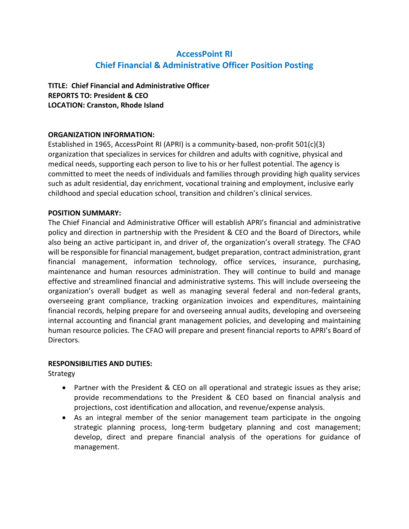# **AccessPoint RI Chief Financial & Administrative Officer Position Posting**

## **TITLE: Chief Financial and Administrative Officer REPORTS TO: President & CEO LOCATION: Cranston, Rhode Island**

### **ORGANIZATION INFORMATION:**

Established in 1965, AccessPoint RI (APRI) is a community-based, non-profit 501(c)(3) organization that specializes in services for children and adults with cognitive, physical and medical needs, supporting each person to live to his or her fullest potential. The agency is committed to meet the needs of individuals and families through providing high quality services such as adult residential, day enrichment, vocational training and employment, inclusive early childhood and special education school, transition and children's clinical services.

#### **POSITION SUMMARY:**

The Chief Financial and Administrative Officer will establish APRI's financial and administrative policy and direction in partnership with the President & CEO and the Board of Directors, while also being an active participant in, and driver of, the organization's overall strategy. The CFAO will be responsible for financial management, budget preparation, contract administration, grant financial management, information technology, office services, insurance, purchasing, maintenance and human resources administration. They will continue to build and manage effective and streamlined financial and administrative systems. This will include overseeing the organization's overall budget as well as managing several federal and non-federal grants, overseeing grant compliance, tracking organization invoices and expenditures, maintaining financial records, helping prepare for and overseeing annual audits, developing and overseeing internal accounting and financial grant management policies, and developing and maintaining human resource policies. The CFAO will prepare and present financial reports to APRI's Board of Directors.

#### **RESPONSIBILITIES AND DUTIES:**

**Strategy** 

- Partner with the President & CEO on all operational and strategic issues as they arise; provide recommendations to the President & CEO based on financial analysis and projections, cost identification and allocation, and revenue/expense analysis.
- As an integral member of the senior management team participate in the ongoing strategic planning process, long-term budgetary planning and cost management; develop, direct and prepare financial analysis of the operations for guidance of management.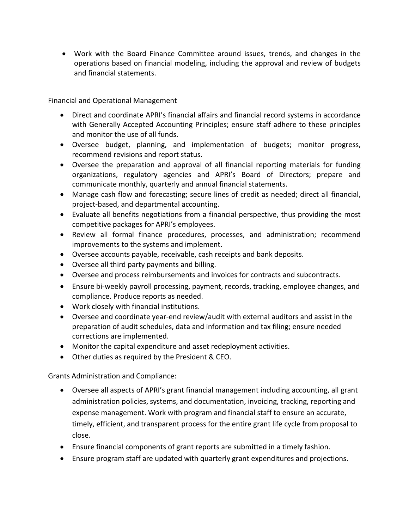• Work with the Board Finance Committee around issues, trends, and changes in the operations based on financial modeling, including the approval and review of budgets and financial statements.

Financial and Operational Management

- Direct and coordinate APRI's financial affairs and financial record systems in accordance with Generally Accepted Accounting Principles; ensure staff adhere to these principles and monitor the use of all funds.
- Oversee budget, planning, and implementation of budgets; monitor progress, recommend revisions and report status.
- Oversee the preparation and approval of all financial reporting materials for funding organizations, regulatory agencies and APRI's Board of Directors; prepare and communicate monthly, quarterly and annual financial statements.
- Manage cash flow and forecasting; secure lines of credit as needed; direct all financial, project-based, and departmental accounting.
- Evaluate all benefits negotiations from a financial perspective, thus providing the most competitive packages for APRI's employees.
- Review all formal finance procedures, processes, and administration; recommend improvements to the systems and implement.
- Oversee accounts payable, receivable, cash receipts and bank deposits.
- Oversee all third party payments and billing.
- Oversee and process reimbursements and invoices for contracts and subcontracts.
- Ensure bi-weekly payroll processing, payment, records, tracking, employee changes, and compliance. Produce reports as needed.
- Work closely with financial institutions.
- Oversee and coordinate year-end review/audit with external auditors and assist in the preparation of audit schedules, data and information and tax filing; ensure needed corrections are implemented.
- Monitor the capital expenditure and asset redeployment activities.
- Other duties as required by the President & CEO.

Grants Administration and Compliance:

- Oversee all aspects of APRI's grant financial management including accounting, all grant administration policies, systems, and documentation, invoicing, tracking, reporting and expense management. Work with program and financial staff to ensure an accurate, timely, efficient, and transparent process for the entire grant life cycle from proposal to close.
- Ensure financial components of grant reports are submitted in a timely fashion.
- Ensure program staff are updated with quarterly grant expenditures and projections.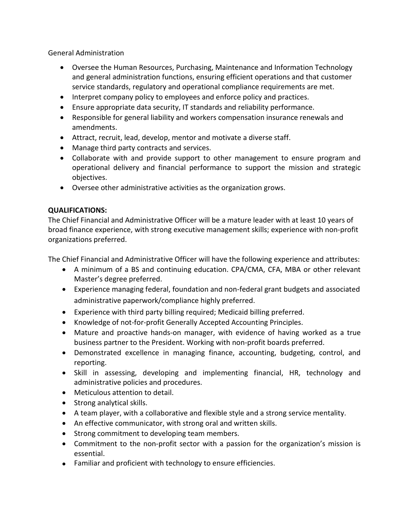General Administration

- Oversee the Human Resources, Purchasing, Maintenance and Information Technology and general administration functions, ensuring efficient operations and that customer service standards, regulatory and operational compliance requirements are met.
- Interpret company policy to employees and enforce policy and practices.
- Ensure appropriate data security, IT standards and reliability performance.
- Responsible for general liability and workers compensation insurance renewals and amendments.
- Attract, recruit, lead, develop, mentor and motivate a diverse staff.
- Manage third party contracts and services.
- Collaborate with and provide support to other management to ensure program and operational delivery and financial performance to support the mission and strategic objectives.
- Oversee other administrative activities as the organization grows.

## **QUALIFICATIONS:**

The Chief Financial and Administrative Officer will be a mature leader with at least 10 years of broad finance experience, with strong executive management skills; experience with non-profit organizations preferred.

The Chief Financial and Administrative Officer will have the following experience and attributes:

- A minimum of a BS and continuing education. CPA/CMA, CFA, MBA or other relevant Master's degree preferred.
- Experience managing federal, foundation and non-federal grant budgets and associated administrative paperwork/compliance highly preferred.
- Experience with third party billing required; Medicaid billing preferred.
- Knowledge of not-for-profit Generally Accepted Accounting Principles.
- Mature and proactive hands-on manager, with evidence of having worked as a true business partner to the President. Working with non-profit boards preferred.
- Demonstrated excellence in managing finance, accounting, budgeting, control, and reporting.
- Skill in assessing, developing and implementing financial, HR, technology and administrative policies and procedures.
- Meticulous attention to detail.
- Strong analytical skills.
- A team player, with a collaborative and flexible style and a strong service mentality.
- An effective communicator, with strong oral and written skills.
- Strong commitment to developing team members.
- Commitment to the non-profit sector with a passion for the organization's mission is essential.
- Familiar and proficient with technology to ensure efficiencies.